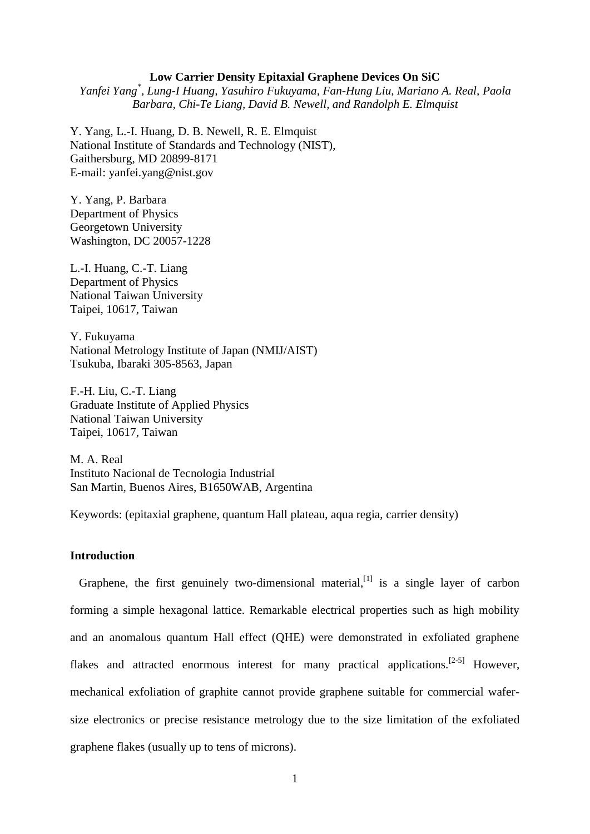### **Low Carrier Density Epitaxial Graphene Devices On SiC**

*Yanfei Yang\* , Lung-I Huang, Yasuhiro Fukuyama, Fan-Hung Liu, Mariano A. Real, Paola Barbara, Chi-Te Liang, David B. Newell, and Randolph E. Elmquist*

Y. Yang, L.-I. Huang, D. B. Newell, R. E. Elmquist National Institute of Standards and Technology (NIST), Gaithersburg, MD 20899-8171 E-mail: [yanfei.yang@nist.gov](mailto:yanfei.yang@nist.gov)

Y. Yang, P. Barbara Department of Physics Georgetown University Washington, DC 20057-1228

L.-I. Huang, C.-T. Liang Department of Physics National Taiwan University Taipei, 10617, Taiwan

Y. Fukuyama National Metrology Institute of Japan (NMIJ/AIST) Tsukuba, Ibaraki 305-8563, Japan

F.-H. Liu, C.-T. Liang Graduate Institute of Applied Physics National Taiwan University Taipei, 10617, Taiwan

M. A. Real Instituto Nacional de Tecnologia Industrial San Martin, Buenos Aires, B1650WAB, Argentina

Keywords: (epitaxial graphene, quantum Hall plateau, aqua regia, carrier density)

### **Introduction**

Graphene, the first genuinely two-dimensional material,  $\begin{bmatrix} 1 \end{bmatrix}$  is a single layer of carbon forming a simple hexagonal lattice. Remarkable electrical properties such as high mobility and an anomalous quantum Hall effect (QHE) were demonstrated in exfoliated graphene flakes and attracted enormous interest for many practical applications.<sup>[2-5]</sup> However, mechanical exfoliation of graphite cannot provide graphene suitable for commercial wafersize electronics or precise resistance metrology due to the size limitation of the exfoliated graphene flakes (usually up to tens of microns).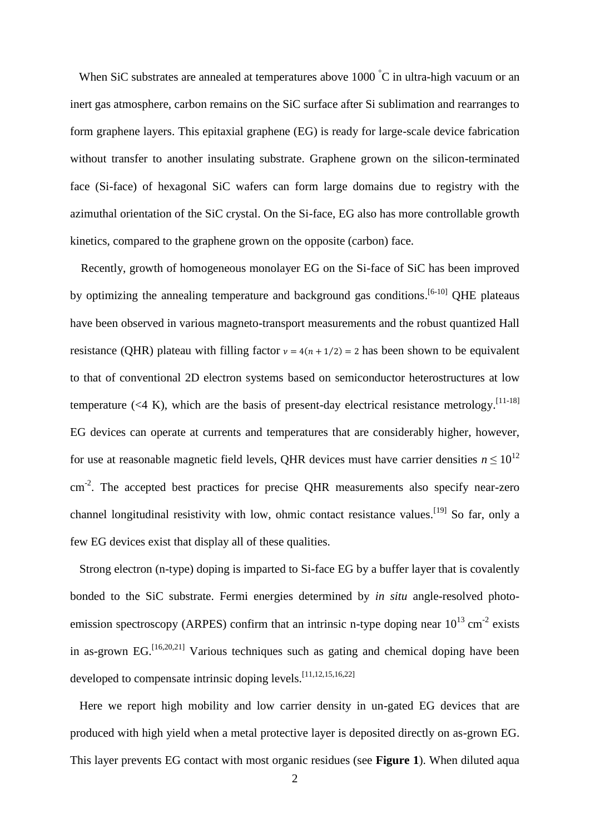When SiC substrates are annealed at temperatures above 1000 °C in ultra-high vacuum or an inert gas atmosphere, carbon remains on the SiC surface after Si sublimation and rearranges to form graphene layers. This epitaxial graphene (EG) is ready for large-scale device fabrication without transfer to another insulating substrate. Graphene grown on the silicon-terminated face (Si-face) of hexagonal SiC wafers can form large domains due to registry with the azimuthal orientation of the SiC crystal. On the Si-face, EG also has more controllable growth kinetics, compared to the graphene grown on the opposite (carbon) face.

Recently, growth of homogeneous monolayer EG on the Si-face of SiC has been improved by optimizing the annealing temperature and background gas conditions.<sup>[6-10]</sup> QHE plateaus have been observed in various magneto-transport measurements and the robust quantized Hall resistance (QHR) plateau with filling factor  $v = 4(n + 1/2) = 2$  has been shown to be equivalent to that of conventional 2D electron systems based on semiconductor heterostructures at low temperature  $(\leq 4 \text{ K})$ , which are the basis of present-day electrical resistance metrology.<sup>[11-18]</sup> EG devices can operate at currents and temperatures that are considerably higher, however, for use at reasonable magnetic field levels, QHR devices must have carrier densities  $n \leq 10^{12}$ cm<sup>-2</sup>. The accepted best practices for precise QHR measurements also specify near-zero channel longitudinal resistivity with low, ohmic contact resistance values.<sup>[19]</sup> So far, only a few EG devices exist that display all of these qualities.

Strong electron (n-type) doping is imparted to Si-face EG by a buffer layer that is covalently bonded to the SiC substrate. Fermi energies determined by *in situ* angle-resolved photoemission spectroscopy (ARPES) confirm that an intrinsic n-type doping near  $10^{13}$  cm<sup>-2</sup> exists in as-grown EG.<sup>[16,20,21]</sup> Various techniques such as gating and chemical doping have been developed to compensate intrinsic doping levels.<sup>[11,12,15,16,22]</sup>

Here we report high mobility and low carrier density in un-gated EG devices that are produced with high yield when a metal protective layer is deposited directly on as-grown EG. This layer prevents EG contact with most organic residues (see **Figure 1**). When diluted aqua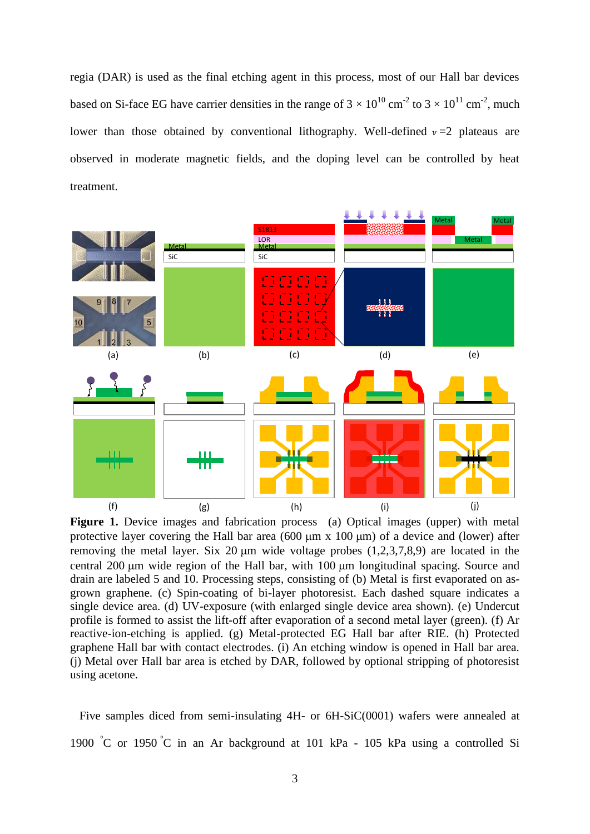regia (DAR) is used as the final etching agent in this process, most of our Hall bar devices based on Si-face EG have carrier densities in the range of  $3 \times 10^{10}$  cm<sup>-2</sup> to  $3 \times 10^{11}$  cm<sup>-2</sup>, much lower than those obtained by conventional lithography. Well-defined  $\nu =2$  plateaus are observed in moderate magnetic fields, and the doping level can be controlled by heat treatment.



**Figure 1.** Device images and fabrication process (a) Optical images (upper) with metal protective layer covering the Hall bar area (600  $\mu$ m x 100  $\mu$ m) of a device and (lower) after removing the metal layer. Six 20  $\mu$ m wide voltage probes (1,2,3,7,8,9) are located in the central 200 µm wide region of the Hall bar, with 100 µm longitudinal spacing. Source and drain are labeled 5 and 10. Processing steps, consisting of (b) Metal is first evaporated on asgrown graphene. (c) Spin-coating of bi-layer photoresist. Each dashed square indicates a single device area. (d) UV-exposure (with enlarged single device area shown). (e) Undercut profile is formed to assist the lift-off after evaporation of a second metal layer (green). (f) Ar reactive-ion-etching is applied. (g) Metal-protected EG Hall bar after RIE. (h) Protected graphene Hall bar with contact electrodes. (i) An etching window is opened in Hall bar area. (j) Metal over Hall bar area is etched by DAR, followed by optional stripping of photoresist using acetone.

Five samples diced from semi-insulating 4H- or 6H-SiC(0001) wafers were annealed at 1900 °C or 1950 °C in an Ar background at 101 kPa - 105 kPa using a controlled Si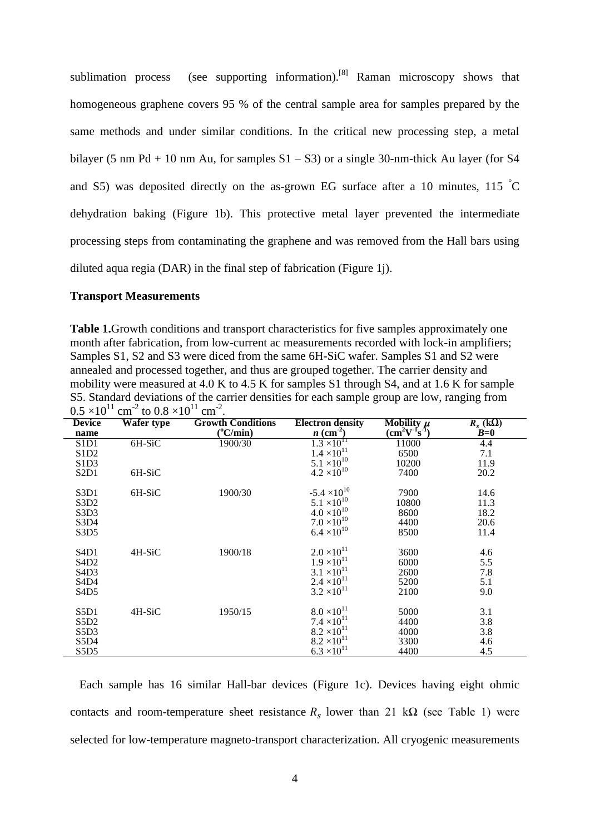sublimation process (see supporting information).<sup>[8]</sup> Raman microscopy shows that homogeneous graphene covers 95 % of the central sample area for samples prepared by the same methods and under similar conditions. In the critical new processing step, a metal bilayer (5 nm Pd + 10 nm Au, for samples  $S1 - S3$ ) or a single 30-nm-thick Au layer (for S4 and S5) was deposited directly on the as-grown EG surface after a 10 minutes, 115  $\degree$ C dehydration baking (Figure 1b). This protective metal layer prevented the intermediate processing steps from contaminating the graphene and was removed from the Hall bars using diluted aqua regia (DAR) in the final step of fabrication (Figure 1j).

### **Transport Measurements**

**Table 1.**Growth conditions and transport characteristics for five samples approximately one month after fabrication, from low-current ac measurements recorded with lock-in amplifiers; Samples S1, S2 and S3 were diced from the same 6H-SiC wafer. Samples S1 and S2 were annealed and processed together, and thus are grouped together. The carrier density and mobility were measured at 4.0 K to 4.5 K for samples S1 through S4, and at 1.6 K for sample S5. Standard deviations of the carrier densities for each sample group are low, ranging from  $0.5 \times 10^{11}$  cm<sup>-2</sup> to  $0.8 \times 10^{11}$  cm<sup>-2</sup>.

| <b>Device</b>                 | <b>Wafer type</b> | <b>Growth Conditions</b> | <b>Electron density</b> | Mobility $\mu$ | $R_s$ (kQ) |
|-------------------------------|-------------------|--------------------------|-------------------------|----------------|------------|
| name                          |                   | $(^{\circ}C/min)$        | $n \text{ (cm}^2)$      | $(cm^2V^Ts^T)$ | $B=0$      |
| S1D1                          | 6H-SiC            | 1900/30                  | $1.3 \times 10^{11}$    | 11000          | 4.4        |
| S <sub>1</sub> D <sub>2</sub> |                   |                          | $1.4 \times 10^{11}$    | 6500           | 7.1        |
| S <sub>1</sub> D <sub>3</sub> |                   |                          | $5.1 \times 10^{10}$    | 10200          | 11.9       |
| S <sub>2</sub> D <sub>1</sub> | 6H-SiC            |                          | $4.2 \times 10^{10}$    | 7400           | 20.2       |
| S3D1                          | 6H-SiC            | 1900/30                  | $-5.4 \times 10^{10}$   | 7900           | 14.6       |
| S3D <sub>2</sub>              |                   |                          | $5.1 \times 10^{10}$    | 10800          | 11.3       |
| S <sub>3</sub> D <sub>3</sub> |                   |                          | $4.0 \times 10^{10}$    | 8600           | 18.2       |
| S3D4                          |                   |                          | $7.0 \times 10^{10}$    | 4400           | 20.6       |
| S <sub>3</sub> D <sub>5</sub> |                   |                          | $6.4 \times 10^{10}$    | 8500           | 11.4       |
| S <sub>4</sub> D <sub>1</sub> | 4H-SiC            | 1900/18                  | $2.0 \times 10^{11}$    | 3600           | 4.6        |
| S <sub>4</sub> D <sub>2</sub> |                   |                          | $1.9 \times 10^{11}$    | 6000           | 5.5        |
| S <sub>4</sub> D <sub>3</sub> |                   |                          | $3.1 \times 10^{11}$    | 2600           | 7.8        |
| S <sub>4</sub> D <sub>4</sub> |                   |                          | $2.4 \times 10^{11}$    | 5200           | 5.1        |
| S <sub>4</sub> D <sub>5</sub> |                   |                          | $3.2 \times 10^{11}$    | 2100           | 9.0        |
| S5D1                          | 4H-SiC            | 1950/15                  | $8.0 \times 10^{11}$    | 5000           | 3.1        |
| S5D2                          |                   |                          | $7.4 \times 10^{11}$    | 4400           | 3.8        |
| S5D3                          |                   |                          | $8.2 \times 10^{11}$    | 4000           | 3.8        |
| S5D4                          |                   |                          | $8.2 \times 10^{11}$    | 3300           | 4.6        |
| S5D5                          |                   |                          | $6.3 \times 10^{11}$    | 4400           | 4.5        |
|                               |                   |                          |                         |                |            |

Each sample has 16 similar Hall-bar devices (Figure 1c). Devices having eight ohmic contacts and room-temperature sheet resistance  $R_s$  lower than 21 kQ (see Table 1) were selected for low-temperature magneto-transport characterization. All cryogenic measurements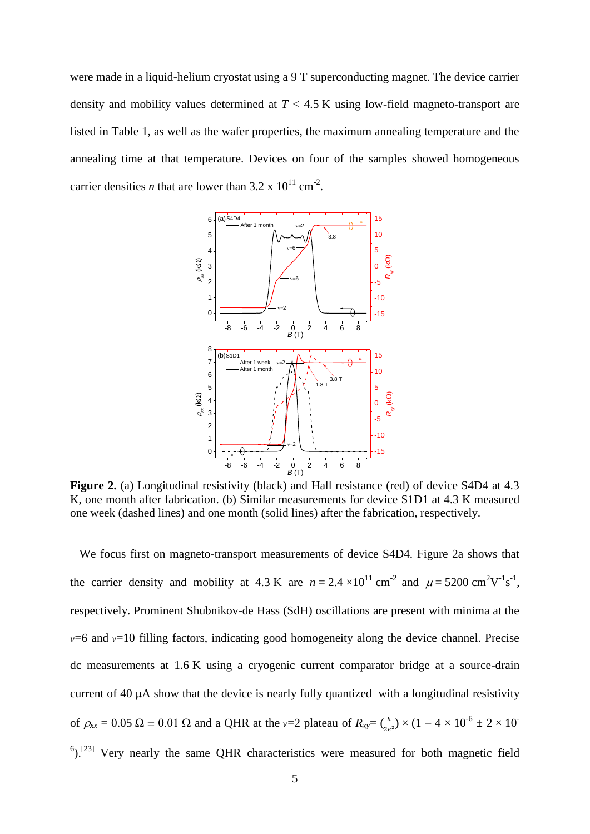were made in a liquid-helium cryostat using a 9 T superconducting magnet. The device carrier density and mobility values determined at *T* < 4.5 K using low-field magneto-transport are listed in Table 1, as well as the wafer properties, the maximum annealing temperature and the annealing time at that temperature. Devices on four of the samples showed homogeneous carrier densities *n* that are lower than  $3.2 \times 10^{11}$  cm<sup>-2</sup>.



**Figure 2.** (a) Longitudinal resistivity (black) and Hall resistance (red) of device S4D4 at 4.3 K, one month after fabrication. (b) Similar measurements for device S1D1 at 4.3 K measured one week (dashed lines) and one month (solid lines) after the fabrication, respectively.

We focus first on magneto-transport measurements of device S4D4. Figure 2a shows that the carrier density and mobility at 4.3 K are  $n = 2.4 \times 10^{11}$  cm<sup>-2</sup> and  $\mu = 5200$  cm<sup>2</sup>V<sup>-1</sup>s<sup>-1</sup>, respectively. Prominent Shubnikov-de Hass (SdH) oscillations are present with minima at the  $v=6$  and  $v=10$  filling factors, indicating good homogeneity along the device channel. Precise dc measurements at 1.6 K using a cryogenic current comparator bridge at a source-drain current of  $40 \mu A$  show that the device is nearly fully quantized with a longitudinal resistivity of  $\rho_{xx} = 0.05 \Omega \pm 0.01 \Omega$  and a QHR at the v=2 plateau of  $R_{xy} = (\frac{h}{2} \times (1 - 4 \times 10^{-6} \pm 2 \times 10^{-6}))$  $6$ ).<sup>[23]</sup> Very nearly the same QHR characteristics were measured for both magnetic field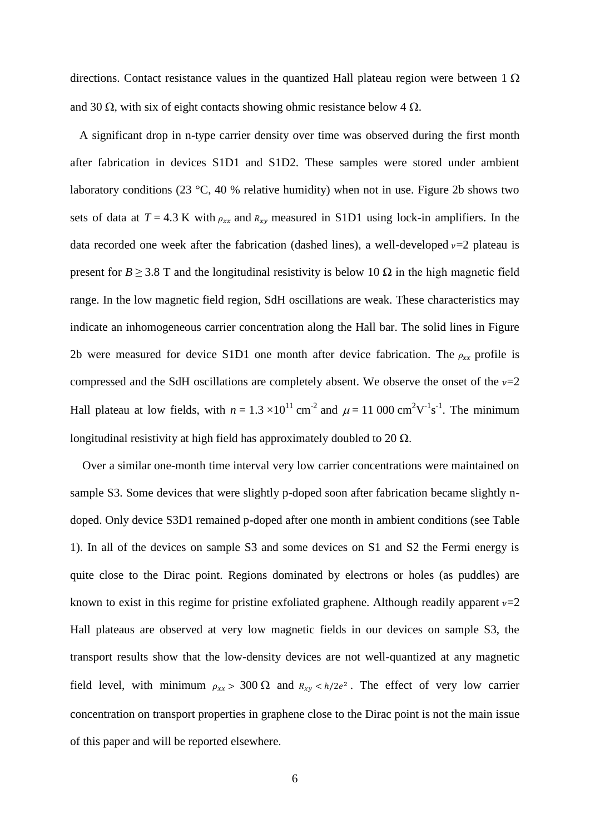directions. Contact resistance values in the quantized Hall plateau region were between  $1 \Omega$ and 30  $\Omega$ , with six of eight contacts showing ohmic resistance below 4  $\Omega$ .

A significant drop in n-type carrier density over time was observed during the first month after fabrication in devices S1D1 and S1D2. These samples were stored under ambient laboratory conditions (23 °C, 40 % relative humidity) when not in use. Figure 2b shows two sets of data at  $T = 4.3$  K with  $\rho_{xx}$  and  $R_{xy}$  measured in S1D1 using lock-in amplifiers. In the data recorded one week after the fabrication (dashed lines), a well-developed  $v=2$  plateau is present for *B*  $\geq$  3.8 T and the longitudinal resistivity is below 10  $\Omega$  in the high magnetic field range. In the low magnetic field region, SdH oscillations are weak. These characteristics may indicate an inhomogeneous carrier concentration along the Hall bar. The solid lines in Figure 2b were measured for device S1D1 one month after device fabrication. The  $\rho_{xx}$  profile is compressed and the SdH oscillations are completely absent. We observe the onset of the  $\nu=2$ Hall plateau at low fields, with  $n = 1.3 \times 10^{11}$  cm<sup>-2</sup> and  $\mu = 11,000$  cm<sup>2</sup>V<sup>-1</sup>s<sup>-1</sup>. The minimum longitudinal resistivity at high field has approximately doubled to 20  $\Omega$ .

Over a similar one-month time interval very low carrier concentrations were maintained on sample S3. Some devices that were slightly p-doped soon after fabrication became slightly ndoped. Only device S3D1 remained p-doped after one month in ambient conditions (see Table 1). In all of the devices on sample S3 and some devices on S1 and S2 the Fermi energy is quite close to the Dirac point. Regions dominated by electrons or holes (as puddles) are known to exist in this regime for pristine exfoliated graphene. Although readily apparent  $v=2$ Hall plateaus are observed at very low magnetic fields in our devices on sample S3, the transport results show that the low-density devices are not well-quantized at any magnetic field level, with minimum  $\rho_{xx} > 300 \Omega$  and  $R_{xy} < h/2e^2$ . The effect of very low carrier concentration on transport properties in graphene close to the Dirac point is not the main issue of this paper and will be reported elsewhere.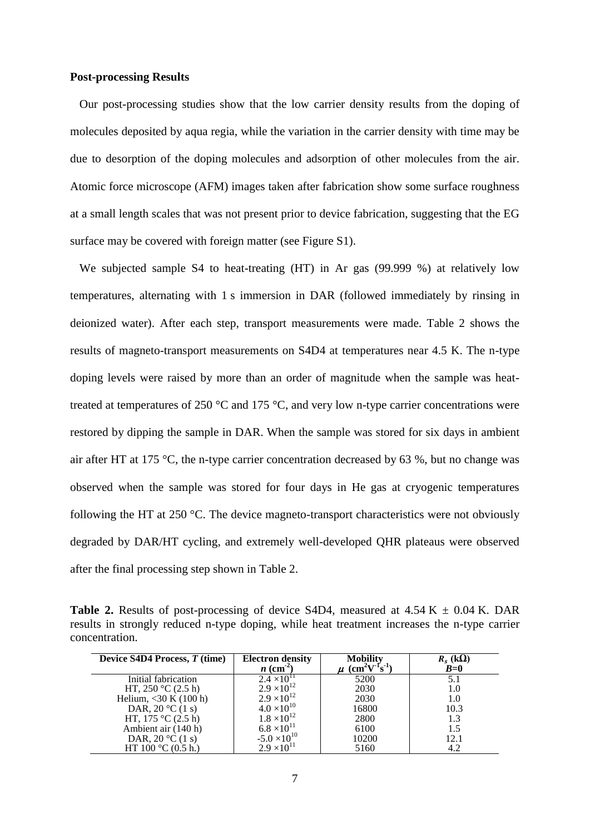### **Post-processing Results**

Our post-processing studies show that the low carrier density results from the doping of molecules deposited by aqua regia, while the variation in the carrier density with time may be due to desorption of the doping molecules and adsorption of other molecules from the air. Atomic force microscope (AFM) images taken after fabrication show some surface roughness at a small length scales that was not present prior to device fabrication, suggesting that the EG surface may be covered with foreign matter (see Figure S1).

We subjected sample S4 to heat-treating (HT) in Ar gas (99.999 %) at relatively low temperatures, alternating with 1 s immersion in DAR (followed immediately by rinsing in deionized water). After each step, transport measurements were made. Table 2 shows the results of magneto-transport measurements on S4D4 at temperatures near 4.5 K. The n-type doping levels were raised by more than an order of magnitude when the sample was heattreated at temperatures of 250  $\degree$ C and 175  $\degree$ C, and very low n-type carrier concentrations were restored by dipping the sample in DAR. When the sample was stored for six days in ambient air after HT at 175 °C, the n-type carrier concentration decreased by 63 %, but no change was observed when the sample was stored for four days in He gas at cryogenic temperatures following the HT at 250 °C. The device magneto-transport characteristics were not obviously degraded by DAR/HT cycling, and extremely well-developed QHR plateaus were observed after the final processing step shown in Table 2.

**Table 2.** Results of post-processing of device S4D4, measured at  $4.54$  K  $\pm$  0.04 K. DAR results in strongly reduced n-type doping, while heat treatment increases the n-type carrier concentration.

| Device S4D4 Process, T (time) | <b>Electron density</b><br>$n$ (cm <sup>2</sup> ) | <b>Mobility</b><br>$(cm^2V^{\text{T}}s^{\text{T}})$ | $R_s$ (kΩ)<br>$B=0$ |
|-------------------------------|---------------------------------------------------|-----------------------------------------------------|---------------------|
| Initial fabrication           | $2.4 \times 10^{11}$                              | 5200                                                | 5.1                 |
| HT, $250 \degree C$ (2.5 h)   | $2.9 \times 10^{12}$                              | 2030                                                | 1.0                 |
| Helium, $<$ 30 K (100 h)      | $2.9 \times 10^{12}$                              | 2030                                                | 1.0                 |
| DAR, $20 °C(1 s)$             | $4.0 \times 10^{10}$                              | 16800                                               | 10.3                |
| HT, $175 \text{ °C}$ (2.5 h)  | $1.8 \times 10^{12}$                              | 2800                                                | 1.3                 |
| Ambient air (140 h)           | $6.8 \times 10^{11}$                              | 6100                                                | 1.5                 |
| DAR, $20 °C(1 s)$             | $-5.0 \times 10^{10}$                             | 10200                                               | 12.1                |
| HT 100 $^{\circ}$ C (0.5 h.)  | $2.9 \times 10^{11}$                              | 5160                                                | 4.2                 |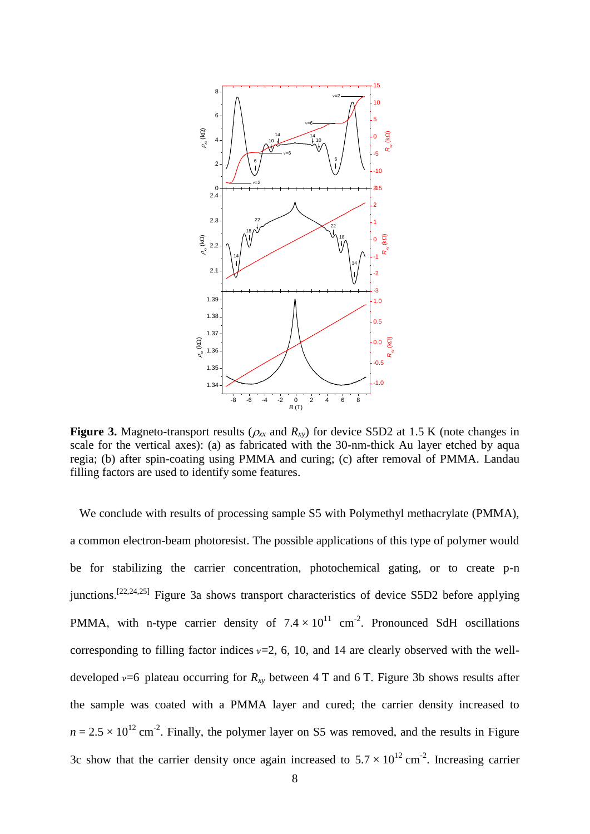

**Figure 3.** Magneto-transport results ( $\rho_{xx}$  and  $R_{xy}$ ) for device S5D2 at 1.5 K (note changes in scale for the vertical axes): (a) as fabricated with the 30-nm-thick Au layer etched by aqua regia; (b) after spin-coating using PMMA and curing; (c) after removal of PMMA. Landau filling factors are used to identify some features.

We conclude with results of processing sample S5 with Polymethyl methacrylate (PMMA), a common electron-beam photoresist. The possible applications of this type of polymer would be for stabilizing the carrier concentration, photochemical gating, or to create p-n junctions.[22,24,25] Figure 3a shows transport characteristics of device S5D2 before applying PMMA, with n-type carrier density of  $7.4 \times 10^{11}$  cm<sup>-2</sup>. Pronounced SdH oscillations corresponding to filling factor indices  $\nu=2$ , 6, 10, and 14 are clearly observed with the welldeveloped  $v=6$  plateau occurring for  $R_{xy}$  between 4 T and 6 T. Figure 3b shows results after the sample was coated with a PMMA layer and cured; the carrier density increased to  $n = 2.5 \times 10^{12}$  cm<sup>-2</sup>. Finally, the polymer layer on S5 was removed, and the results in Figure 3c show that the carrier density once again increased to  $5.7 \times 10^{12}$  cm<sup>-2</sup>. Increasing carrier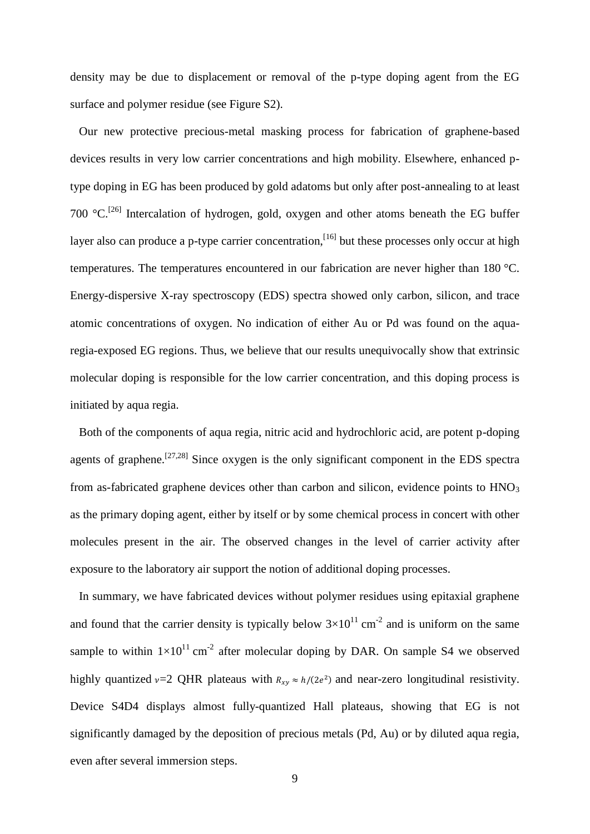density may be due to displacement or removal of the p-type doping agent from the EG surface and polymer residue (see Figure S2).

Our new protective precious-metal masking process for fabrication of graphene-based devices results in very low carrier concentrations and high mobility. Elsewhere, enhanced ptype doping in EG has been produced by gold adatoms but only after post-annealing to at least 700  $^{\circ}$ C.<sup>[26]</sup> Intercalation of hydrogen, gold, oxygen and other atoms beneath the EG buffer layer also can produce a p-type carrier concentration,  $[16]$  but these processes only occur at high temperatures. The temperatures encountered in our fabrication are never higher than 180 °C. Energy-dispersive X-ray spectroscopy (EDS) spectra showed only carbon, silicon, and trace atomic concentrations of oxygen. No indication of either Au or Pd was found on the aquaregia-exposed EG regions. Thus, we believe that our results unequivocally show that extrinsic molecular doping is responsible for the low carrier concentration, and this doping process is initiated by aqua regia.

Both of the components of aqua regia, nitric acid and hydrochloric acid, are potent p-doping agents of graphene.<sup>[27,28]</sup> Since oxygen is the only significant component in the EDS spectra from as-fabricated graphene devices other than carbon and silicon, evidence points to  $HNO<sub>3</sub>$ as the primary doping agent, either by itself or by some chemical process in concert with other molecules present in the air. The observed changes in the level of carrier activity after exposure to the laboratory air support the notion of additional doping processes.

In summary, we have fabricated devices without polymer residues using epitaxial graphene and found that the carrier density is typically below  $3\times10^{11}$  cm<sup>-2</sup> and is uniform on the same sample to within  $1\times10^{11}$  cm<sup>-2</sup> after molecular doping by DAR. On sample S4 we observed highly quantized  $v=2$  QHR plateaus with  $R_{xy} \approx h/(2e^2)$  and near-zero longitudinal resistivity. Device S4D4 displays almost fully-quantized Hall plateaus, showing that EG is not significantly damaged by the deposition of precious metals (Pd, Au) or by diluted aqua regia, even after several immersion steps.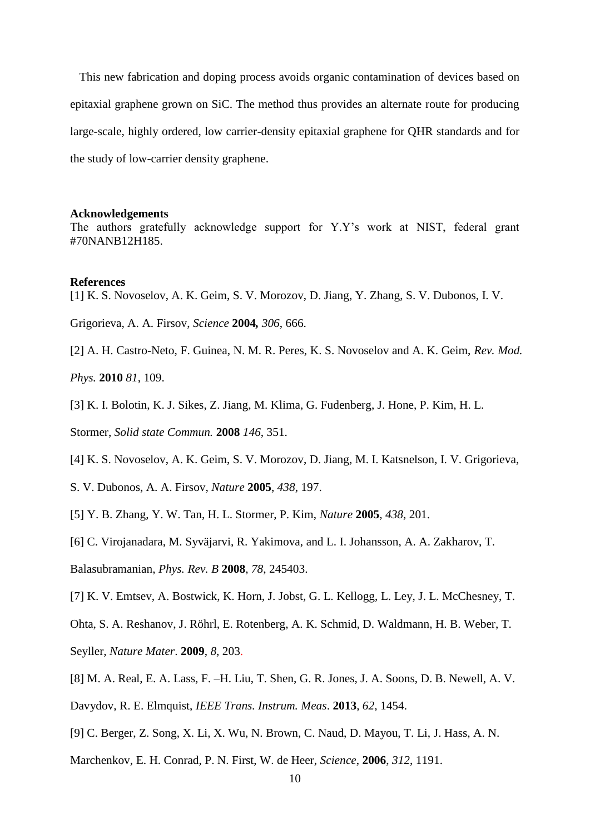This new fabrication and doping process avoids organic contamination of devices based on epitaxial graphene grown on SiC. The method thus provides an alternate route for producing large-scale, highly ordered, low carrier-density epitaxial graphene for QHR standards and for the study of low-carrier density graphene.

### **Acknowledgements**

The authors gratefully acknowledge support for Y.Y's work at NIST, federal grant #70NANB12H185.

### **References**

[1] K. S. Novoselov, A. K. Geim, S. V. Morozov, D. Jiang, Y. Zhang, S. V. Dubonos, I. V.

Grigorieva, A. A. Firsov, *Science* **2004***, 306*, 666.

[2] A. H. Castro-Neto, F. Guinea, N. M. R. Peres, K. S. Novoselov and A. K. Geim, *Rev. Mod.* 

*Phys.* **2010** *81*, 109.

[3] K. I. Bolotin, K. J. Sikes, Z. Jiang, M. Klima, G. Fudenberg, J. Hone, P. Kim, H. L.

Stormer, *Solid state Commun.* **2008** *146*, 351.

- [4] K. S. Novoselov, A. K. Geim, S. V. Morozov, D. Jiang, M. I. Katsnelson, I. V. Grigorieva,
- S. V. Dubonos, A. A. Firsov, *Nature* **2005**, *438*, 197.
- [5] Y. B. Zhang, Y. W. Tan, H. L. Stormer, P. Kim, *Nature* **2005**, *438*, 201.

[6] [C. Virojanadara,](http://publish.aps.org/search/field/author/C.%20Virojanadara) [M. Syväjarvi,](http://publish.aps.org/search/field/author/M.%20Syv%C3%A4jarvi) [R. Yakimova,](http://publish.aps.org/search/field/author/R.%20Yakimova) and [L. I. Johansson,](http://publish.aps.org/search/field/author/L.%20I.%20Johansson) [A. A. Zakharov,](http://publish.aps.org/search/field/author/A.%20A.%20Zakharov) [T.](http://publish.aps.org/search/field/author/T.%20Balasubramanian) 

[Balasubramanian,](http://publish.aps.org/search/field/author/T.%20Balasubramanian) *Phys. Rev. B* **2008**, *78*, 245403.

[7] K. V. Emtsev, A. Bostwick, K. Horn, J. Jobst, G. L. Kellogg, L. Ley, J. L. McChesney, T.

Ohta, S. A. Reshanov, J. Röhrl, E. Rotenberg, A. K. Schmid, D. Waldmann, H. B. Weber, T. Seyller, *Nature Mater*. **2009**, *8*, 203.

- [8] M. A. Real, E. A. Lass, F. –H. Liu, T. Shen, G. R. Jones, J. A. Soons, D. B. Newell, A. V.
- Davydov, R. E. Elmquist, *IEEE Trans. Instrum. Meas*. **2013**, *62*, 1454.
- [9] C. Berger, Z. Song, X. Li, X. Wu, N. Brown, C. Naud, D. Mayou, T. Li, J. Hass, A. N.
- Marchenkov, E. H. Conrad, P. N. First, W. de Heer, *Science*, **2006**, *312*, 1191.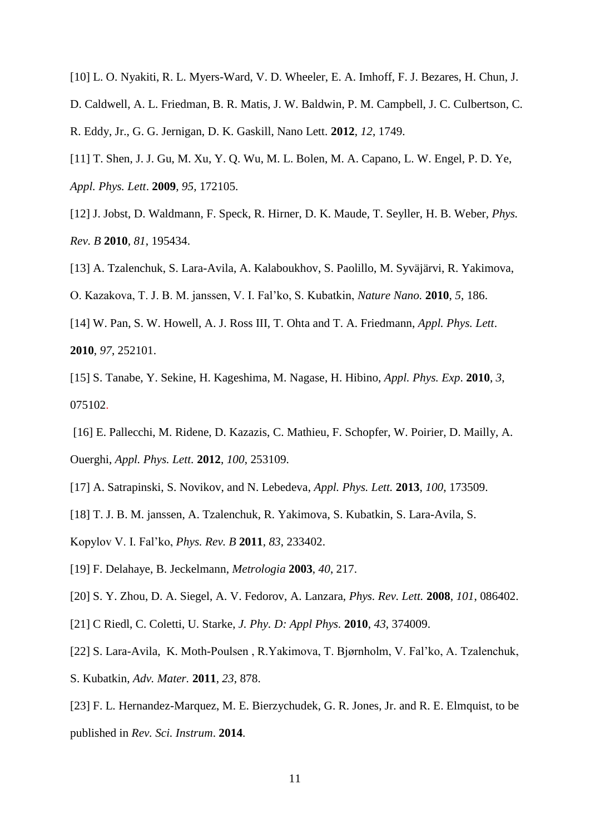- [10] L. O. Nyakiti, R. L. Myers-Ward, V. D. Wheeler, E. A. Imhoff, F. J. Bezares, H. Chun, J.
- D. Caldwell, A. L. Friedman, B. R. Matis, J. W. Baldwin, P. M. Campbell, J. C. Culbertson, C. R. Eddy, Jr., G. G. Jernigan, D. K. Gaskill, Nano Lett. **2012**, *12*, 1749.
- [11] T. Shen, J. J. Gu, M. Xu, Y. Q. Wu, M. L. Bolen, M. A. Capano, L. W. Engel, P. D. Ye, *Appl. Phys. Lett*. **2009**, *95,* 172105.
- [12] J. Jobst, D. Waldmann, F. Speck, R. Hirner, D. K. Maude, T. Seyller, H. B. Weber, *Phys. Rev. B* **2010**, *81*, 195434.
- [13] A. Tzalenchuk, S. Lara-Avila, A. Kalaboukhov, S. Paolillo, M. Syväjärvi, R. Yakimova,
- O. Kazakova, T. J. B. M. janssen, V. I. Fal'ko, S. Kubatkin, *Nature Nano.* **2010**, *5*, 186.
- [14] [W. Pan,](http://scitation.aip.org/content/contributor/AU0247456) [S. W. Howell,](http://scitation.aip.org/content/contributor/AU0424539) [A. J. Ross III,](http://scitation.aip.org/content/contributor/AU0424541) [T. Ohta](http://scitation.aip.org/content/contributor/AU0380159) and [T. A. Friedmann,](http://scitation.aip.org/content/contributor/AU0318376) *Appl. Phys. Lett*. **2010**, *97*, 252101.
- [15] S. Tanabe, Y. Sekine, H. Kageshima, M. Nagase, H. Hibino, *Appl. Phys. Exp*. **2010**, *3*, 075102.
- [16] E. [Pallecchi, M](http://ieeexplore.ieee.org/search/searchresult.jsp?searchWithin=p_Authors:.QT.Pallecchi,%20E..QT.&searchWithin=p_Author_Ids:38247499200&newsearch=true). [Ridene, D](http://ieeexplore.ieee.org/search/searchresult.jsp?searchWithin=p_Authors:.QT.Ridene,%20M..QT.&searchWithin=p_Author_Ids:38246548200&newsearch=true). [Kazazis,](http://ieeexplore.ieee.org/search/searchresult.jsp?searchWithin=p_Authors:.QT.Kazazis,%20D..QT.&searchWithin=p_Author_Ids:37330326200&newsearch=true) C. [Mathieu,](http://ieeexplore.ieee.org/search/searchresult.jsp?searchWithin=p_Authors:.QT.Mathieu,%20C..QT.&searchWithin=p_Author_Ids:38247023800&newsearch=true) F. [Schopfer,](http://ieeexplore.ieee.org/search/searchresult.jsp?searchWithin=p_Authors:.QT.Schopfer,%20F..QT.&searchWithin=p_Author_Ids:37532405900&newsearch=true) W. [Poirier, D](http://ieeexplore.ieee.org/search/searchresult.jsp?searchWithin=p_Authors:.QT.Poirier,%20W..QT.&searchWithin=p_Author_Ids:37303930900&newsearch=true). [Mailly, A](http://ieeexplore.ieee.org/search/searchresult.jsp?searchWithin=p_Authors:.QT.Mailly,%20D..QT.&searchWithin=p_Author_Ids:38289555600&newsearch=true). [Ouerghi,](http://ieeexplore.ieee.org/search/searchresult.jsp?searchWithin=p_Authors:.QT.Ouerghi,%20A..QT.&searchWithin=p_Author_Ids:38247380400&newsearch=true) *Appl. Phys. Lett.* **2012**, *100*, 253109.
- [17] A. [Satrapinski,](http://ieeexplore.ieee.org/search/searchresult.jsp?searchWithin=p_Authors:.QT.Satrapinski,%20A..QT.&newsearch=true) S. [Novikov, a](http://ieeexplore.ieee.org/search/searchresult.jsp?searchWithin=p_Authors:.QT.Novikov,%20S..QT.&newsearch=true)nd N. [Lebedeva,](http://ieeexplore.ieee.org/search/searchresult.jsp?searchWithin=p_Authors:.QT.Lebedeva,%20N..QT.&newsearch=true) *Appl. Phys. Lett.* **2013**, *100*, 173509.
- [18] T. J. B. M. janssen, A. Tzalenchuk, R. Yakimova, S. Kubatkin, S. Lara-Avila, S.
- Kopylov V. I. Fal'ko, *Phys. Rev. B* **2011**, *83*, 233402.
- [19] F. Delahaye, B. Jeckelmann, *Metrologia* **2003**, *40*, 217.
- [20] S. Y. Zhou, D. A. Siegel, A. V. Fedorov, A. Lanzara, *Phys. Rev. Lett.* **2008**, *101*, 086402.
- [21] C Riedl, C. Coletti, U. Starke, *J. Phy. D: Appl Phys.* **2010**, *43*, 374009.
- [22] S. Lara-Avila, K. Moth-Poulsen , R.Yakimova, T. Bjørnholm, V. Fal'ko, A. Tzalenchuk,
- S. Kubatkin, *Adv. Mater.* **2011**, *23*, 878.
- [23] F. L. Hernandez-Marquez, M. E. Bierzychudek, G. R. Jones, Jr. and R. E. Elmquist, to be published in *Rev. Sci. Instrum*. **2014**.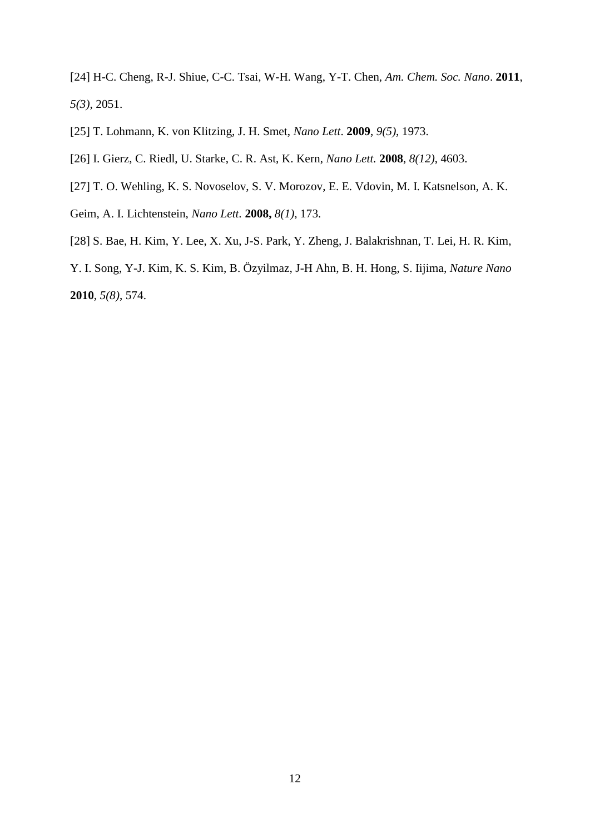[24] H-C. Cheng, R-J. Shiue, C-C. Tsai, W-H. Wang, Y-T. Chen, *Am. Chem. Soc. Nano*. **2011**, *5(3)*, 2051.

[25] T. Lohmann, K. von Klitzing, J. H. Smet, *Nano Lett*. **2009**, *9(5)*, 1973.

[26] I. Gierz, C. Riedl, U. Starke, C. R. Ast, K. Kern, *Nano Lett.* **2008**, *8(12)*, 4603.

- [27] T. O. Wehling, K. S. Novoselov, S. V. Morozov, E. E. Vdovin, M. I. Katsnelson, A. K.
- Geim, A. I. Lichtenstein, *Nano Lett.* **2008,** *8(1)*, 173.
- [28] [S. Bae,](http://www.nature.com/nnano/journal/v5/n8/abs/nnano.2010.132.html#auth-1) [H. Kim,](http://www.nature.com/nnano/journal/v5/n8/abs/nnano.2010.132.html#auth-2) [Y. Lee,](http://www.nature.com/nnano/journal/v5/n8/abs/nnano.2010.132.html#auth-3) [X. Xu,](http://www.nature.com/nnano/journal/v5/n8/abs/nnano.2010.132.html#auth-4) [J-S. Park,](http://www.nature.com/nnano/journal/v5/n8/abs/nnano.2010.132.html#auth-5) [Y. Zheng,](http://www.nature.com/nnano/journal/v5/n8/abs/nnano.2010.132.html#auth-6) [J. Balakrishnan,](http://www.nature.com/nnano/journal/v5/n8/abs/nnano.2010.132.html#auth-7) [T. Lei,](http://www.nature.com/nnano/journal/v5/n8/abs/nnano.2010.132.html#auth-8) [H. R. Kim,](http://www.nature.com/nnano/journal/v5/n8/abs/nnano.2010.132.html#auth-9)

[Y. I. Song,](http://www.nature.com/nnano/journal/v5/n8/abs/nnano.2010.132.html#auth-10) [Y-J. Kim,](http://www.nature.com/nnano/journal/v5/n8/abs/nnano.2010.132.html#auth-11) [K. S. Kim,](http://www.nature.com/nnano/journal/v5/n8/abs/nnano.2010.132.html#auth-12) [B. Özyilmaz,](http://www.nature.com/nnano/journal/v5/n8/abs/nnano.2010.132.html#auth-13) [J-H Ahn,](http://www.nature.com/nnano/journal/v5/n8/abs/nnano.2010.132.html#auth-14) [B. H. Hong,](http://www.nature.com/nnano/journal/v5/n8/abs/nnano.2010.132.html#auth-15) [S. Iijima,](http://www.nature.com/nnano/journal/v5/n8/abs/nnano.2010.132.html#auth-16) *Nature Nano* **2010**, *5(8)*, 574.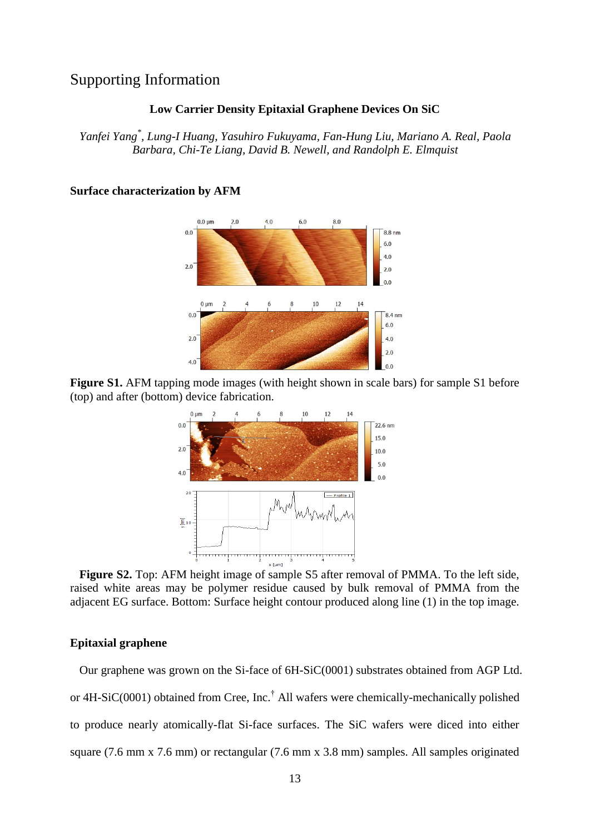# Supporting Information

### **Low Carrier Density Epitaxial Graphene Devices On SiC**

*Yanfei Yang\* , Lung-I Huang, Yasuhiro Fukuyama, Fan-Hung Liu, Mariano A. Real, Paola Barbara, Chi-Te Liang, David B. Newell, and Randolph E. Elmquist*

#### $0.0 \text{ µm}$  $2.0$  $4.0$  $6.0$  $8.0$  $0<sub>0</sub>$  $88nm$  $6.0$  $4.0$  $2.0$  $2.0$  $0<sup>0</sup>$  $0 \mu m$  $10$  $12$  $0.0$  $8.4<sub>nm</sub>$  $6.0$  $2.0$  $4.0$  $2.0$  $4.0$  $0<sup>0</sup>$

### **Surface characterization by AFM**

**Figure S1.** AFM tapping mode images (with height shown in scale bars) for sample S1 before (top) and after (bottom) device fabrication.



**Figure S2.** Top: AFM height image of sample S5 after removal of PMMA. To the left side, raised white areas may be polymer residue caused by bulk removal of PMMA from the adjacent EG surface. Bottom: Surface height contour produced along line (1) in the top image.

### **Epitaxial graphene**

Our graphene was grown on the Si-face of 6H-SiC(0001) substrates obtained from AGP Ltd. or 4H-SiC(0001) obtained from Cree, Inc.† All wafers were chemically-mechanically polished to produce nearly atomically-flat Si-face surfaces. The SiC wafers were diced into either square (7.6 mm x 7.6 mm) or rectangular (7.6 mm x 3.8 mm) samples. All samples originated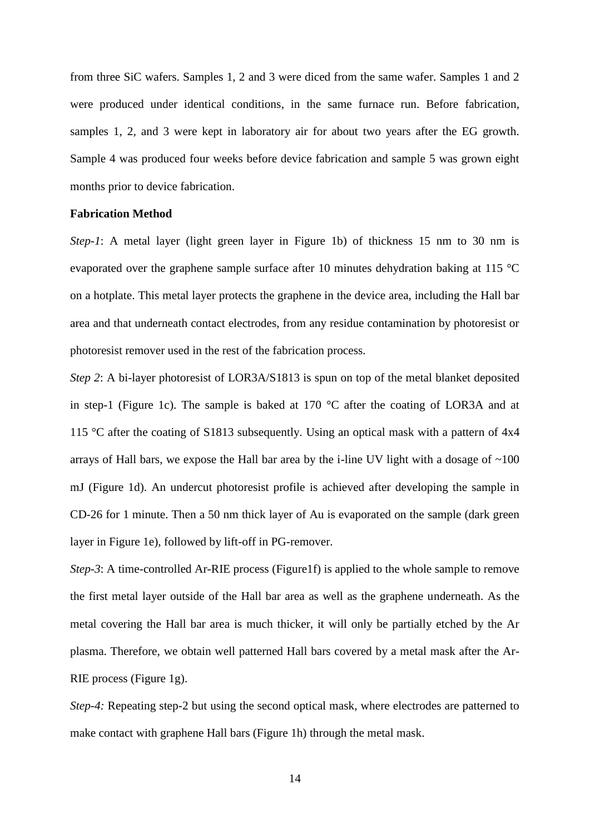from three SiC wafers. Samples 1, 2 and 3 were diced from the same wafer. Samples 1 and 2 were produced under identical conditions, in the same furnace run. Before fabrication, samples 1, 2, and 3 were kept in laboratory air for about two years after the EG growth. Sample 4 was produced four weeks before device fabrication and sample 5 was grown eight months prior to device fabrication.

# **Fabrication Method**

*Step-1*: A metal layer (light green layer in Figure 1b) of thickness 15 nm to 30 nm is evaporated over the graphene sample surface after 10 minutes dehydration baking at 115 °C on a hotplate. This metal layer protects the graphene in the device area, including the Hall bar area and that underneath contact electrodes, from any residue contamination by photoresist or photoresist remover used in the rest of the fabrication process.

*Step 2*: A bi-layer photoresist of LOR3A/S1813 is spun on top of the metal blanket deposited in step-1 (Figure 1c). The sample is baked at 170 °C after the coating of LOR3A and at 115 °C after the coating of S1813 subsequently. Using an optical mask with a pattern of 4x4 arrays of Hall bars, we expose the Hall bar area by the i-line UV light with a dosage of  $\sim$ 100 mJ (Figure 1d). An undercut photoresist profile is achieved after developing the sample in CD-26 for 1 minute. Then a 50 nm thick layer of Au is evaporated on the sample (dark green layer in Figure 1e), followed by lift-off in PG-remover.

*Step-3*: A time-controlled Ar-RIE process (Figure1f) is applied to the whole sample to remove the first metal layer outside of the Hall bar area as well as the graphene underneath. As the metal covering the Hall bar area is much thicker, it will only be partially etched by the Ar plasma. Therefore, we obtain well patterned Hall bars covered by a metal mask after the Ar-RIE process (Figure 1g).

*Step-4:* Repeating step-2 but using the second optical mask, where electrodes are patterned to make contact with graphene Hall bars (Figure 1h) through the metal mask.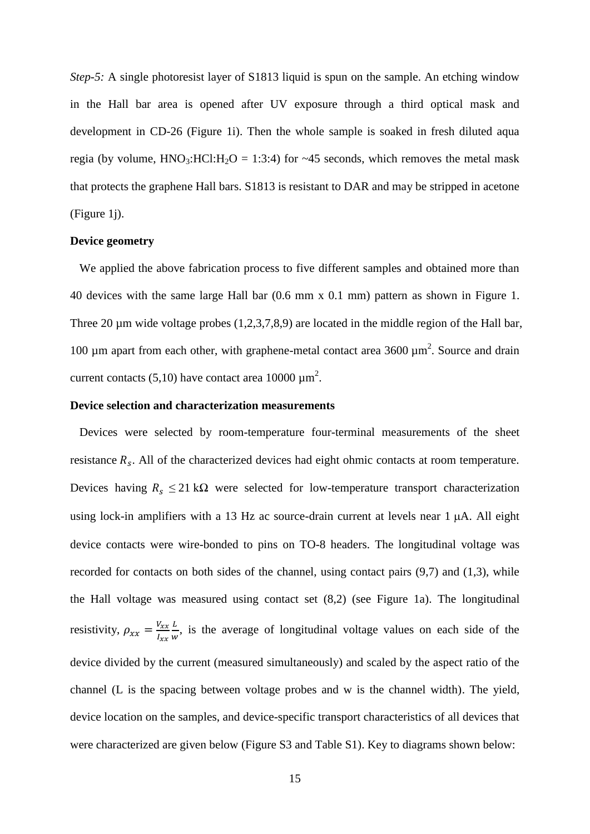*Step-5:* A single photoresist layer of S1813 liquid is spun on the sample. An etching window in the Hall bar area is opened after UV exposure through a third optical mask and development in CD-26 (Figure 1i). Then the whole sample is soaked in fresh diluted aqua regia (by volume,  $HNO_3$ :HCl:H<sub>2</sub>O = 1:3:4) for ~45 seconds, which removes the metal mask that protects the graphene Hall bars. S1813 is resistant to DAR and may be stripped in acetone (Figure 1j).

### **Device geometry**

We applied the above fabrication process to five different samples and obtained more than 40 devices with the same large Hall bar (0.6 mm x 0.1 mm) pattern as shown in Figure 1. Three 20 µm wide voltage probes (1,2,3,7,8,9) are located in the middle region of the Hall bar, 100  $\mu$ m apart from each other, with graphene-metal contact area 3600  $\mu$ m<sup>2</sup>. Source and drain current contacts (5,10) have contact area 10000  $\mu$ m<sup>2</sup>.

### **Device selection and characterization measurements**

Devices were selected by room-temperature four-terminal measurements of the sheet resistance  $R_s$ . All of the characterized devices had eight ohmic contacts at room temperature. Devices having  $R_s \leq 21 \text{ k}\Omega$  were selected for low-temperature transport characterization using lock-in amplifiers with a 13 Hz ac source-drain current at levels near  $1 \mu A$ . All eight device contacts were wire-bonded to pins on TO-8 headers. The longitudinal voltage was recorded for contacts on both sides of the channel, using contact pairs (9,7) and (1,3), while the Hall voltage was measured using contact set (8,2) (see Figure 1a). The longitudinal resistivity,  $\rho_{xx} = \frac{V_x}{I_x}$  $\overline{I}$ L  $\frac{L}{w}$ , is the average of longitudinal voltage values on each side of the device divided by the current (measured simultaneously) and scaled by the aspect ratio of the channel (L is the spacing between voltage probes and w is the channel width). The yield, device location on the samples, and device-specific transport characteristics of all devices that were characterized are given below (Figure S3 and Table S1). Key to diagrams shown below: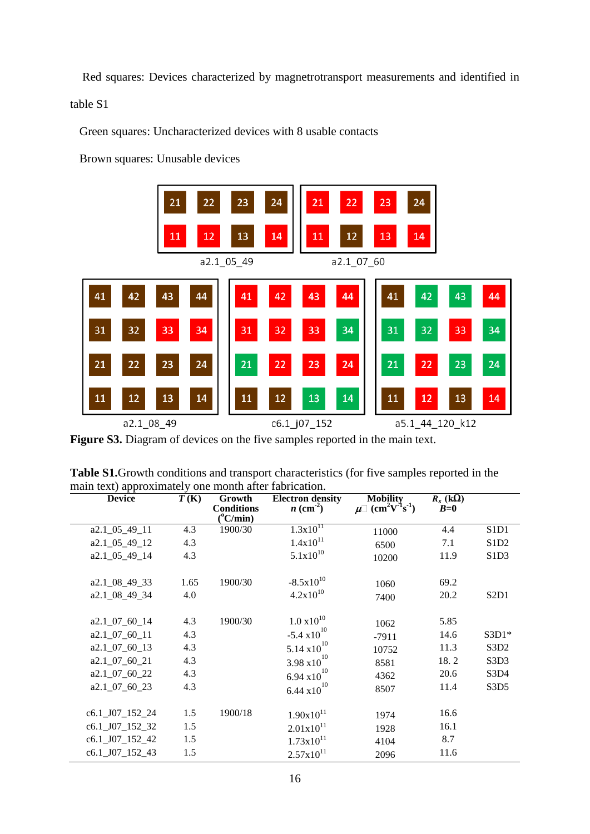Red squares: Devices characterized by magnetrotransport measurements and identified in table S1

Green squares: Uncharacterized devices with 8 usable contacts

Brown squares: Unusable devices



Figure S3. Diagram of devices on the five samples reported in the main text.

| Table S1. Growth conditions and transport characteristics (for five samples reported in the |  |
|---------------------------------------------------------------------------------------------|--|
| main text) approximately one month after fabrication.                                       |  |

| <b>Device</b>      | T(K) | Growth<br><b>Conditions</b> | <b>Electron density</b><br>$n \text{ (cm}^2)$ | <b>Mobility</b><br>$\mu$ (cm <sup>2</sup> V <sup>-1</sup> s <sup>-1</sup> ) | $R_s$ (k $\overline{Q}$ )<br>$B=0$ |                               |
|--------------------|------|-----------------------------|-----------------------------------------------|-----------------------------------------------------------------------------|------------------------------------|-------------------------------|
|                    |      | $(^{\circ}C/min)$           |                                               |                                                                             |                                    |                               |
| a2.1_05_49_11      | 4.3  | 1900/30                     | $1.3x\overline{10}^{11}$                      | 11000                                                                       | 4.4                                | S1D1                          |
| a2.1_05_49_12      | 4.3  |                             | $1.4x10^{11}$                                 | 6500                                                                        | 7.1                                | S <sub>1</sub> D <sub>2</sub> |
| a2.1 05 49 14      | 4.3  |                             | $5.1x10^{10}$                                 | 10200                                                                       | 11.9                               | S <sub>1</sub> D <sub>3</sub> |
| a2.1_08_49_33      | 1.65 | 1900/30                     | $-8.5x10^{10}$                                | 1060                                                                        | 69.2                               |                               |
| a2.1_08_49_34      | 4.0  |                             | $4.2x10^{10}$                                 | 7400                                                                        | 20.2                               | S <sub>2</sub> D <sub>1</sub> |
| $a2.1\_07\_60\_14$ | 4.3  | 1900/30                     | $1.0 \times 10^{10}$                          | 1062                                                                        | 5.85                               |                               |
| $a2.1\_07\_60\_11$ | 4.3  |                             | $-5.4 \times 10^{10}$                         | $-7911$                                                                     | 14.6                               | $S3D1*$                       |
| $a2.1\_07\_60\_13$ | 4.3  |                             | $5.14 \times 10^{10}$                         | 10752                                                                       | 11.3                               | S3D <sub>2</sub>              |
| $a2.1\_07\_60\_21$ | 4.3  |                             | $3.98 \times 10^{10}$                         | 8581                                                                        | 18.2                               | S <sub>3</sub> D <sub>3</sub> |
| a2.1_07_60_22      | 4.3  |                             | 6.94 $x10^{10}$                               | 4362                                                                        | 20.6                               | S3D4                          |
| a2.1_07_60_23      | 4.3  |                             | $6.44 \times 10^{10}$                         | 8507                                                                        | 11.4                               | S3D5                          |
| c6.1_J07_152_24    | 1.5  | 1900/18                     | $1.90x10^{11}$                                | 1974                                                                        | 16.6                               |                               |
| c6.1_J07_152_32    | 1.5  |                             | $2.01x10^{11}$                                | 1928                                                                        | 16.1                               |                               |
| c6.1_J07_152_42    | 1.5  |                             | $1.73 \times 10^{11}$                         | 4104                                                                        | 8.7                                |                               |
| c6.1_J07_152_43    | 1.5  |                             | $2.57x10^{11}$                                | 2096                                                                        | 11.6                               |                               |